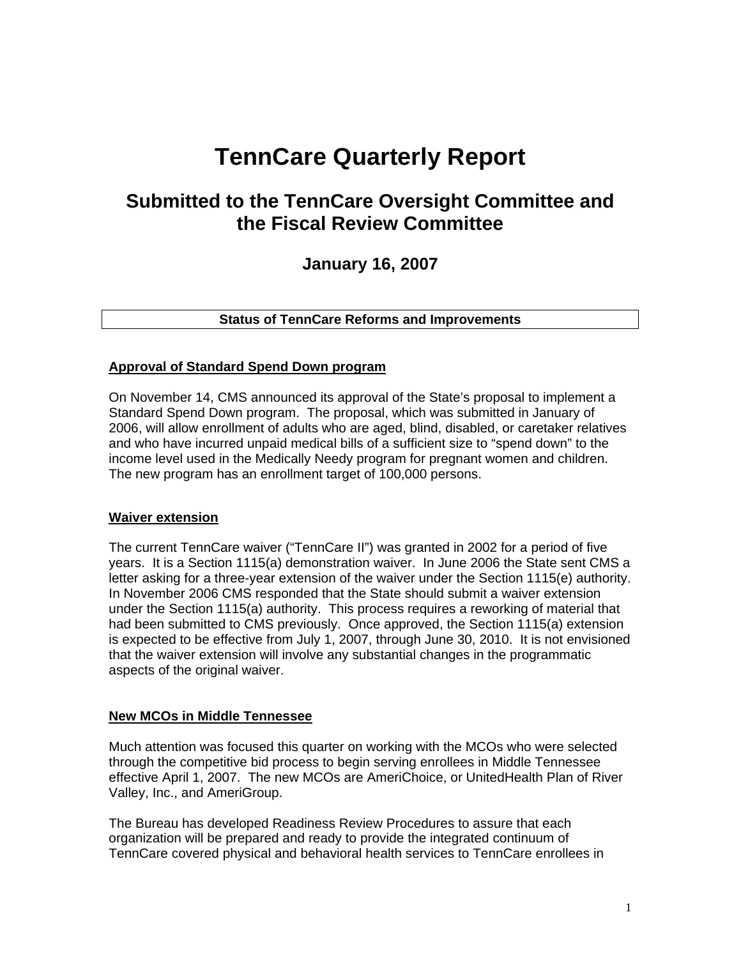# **TennCare Quarterly Report**

# **Submitted to the TennCare Oversight Committee and the Fiscal Review Committee**

**January 16, 2007** 

**Status of TennCare Reforms and Improvements** 

#### **Approval of Standard Spend Down program**

On November 14, CMS announced its approval of the State's proposal to implement a Standard Spend Down program. The proposal, which was submitted in January of 2006, will allow enrollment of adults who are aged, blind, disabled, or caretaker relatives and who have incurred unpaid medical bills of a sufficient size to "spend down" to the income level used in the Medically Needy program for pregnant women and children. The new program has an enrollment target of 100,000 persons.

#### **Waiver extension**

The current TennCare waiver ("TennCare II") was granted in 2002 for a period of five years. It is a Section 1115(a) demonstration waiver. In June 2006 the State sent CMS a letter asking for a three-year extension of the waiver under the Section 1115(e) authority. In November 2006 CMS responded that the State should submit a waiver extension under the Section 1115(a) authority. This process requires a reworking of material that had been submitted to CMS previously. Once approved, the Section 1115(a) extension is expected to be effective from July 1, 2007, through June 30, 2010. It is not envisioned that the waiver extension will involve any substantial changes in the programmatic aspects of the original waiver.

#### **New MCOs in Middle Tennessee**

Much attention was focused this quarter on working with the MCOs who were selected through the competitive bid process to begin serving enrollees in Middle Tennessee effective April 1, 2007. The new MCOs are AmeriChoice, or UnitedHealth Plan of River Valley, Inc., and AmeriGroup.

The Bureau has developed Readiness Review Procedures to assure that each organization will be prepared and ready to provide the integrated continuum of TennCare covered physical and behavioral health services to TennCare enrollees in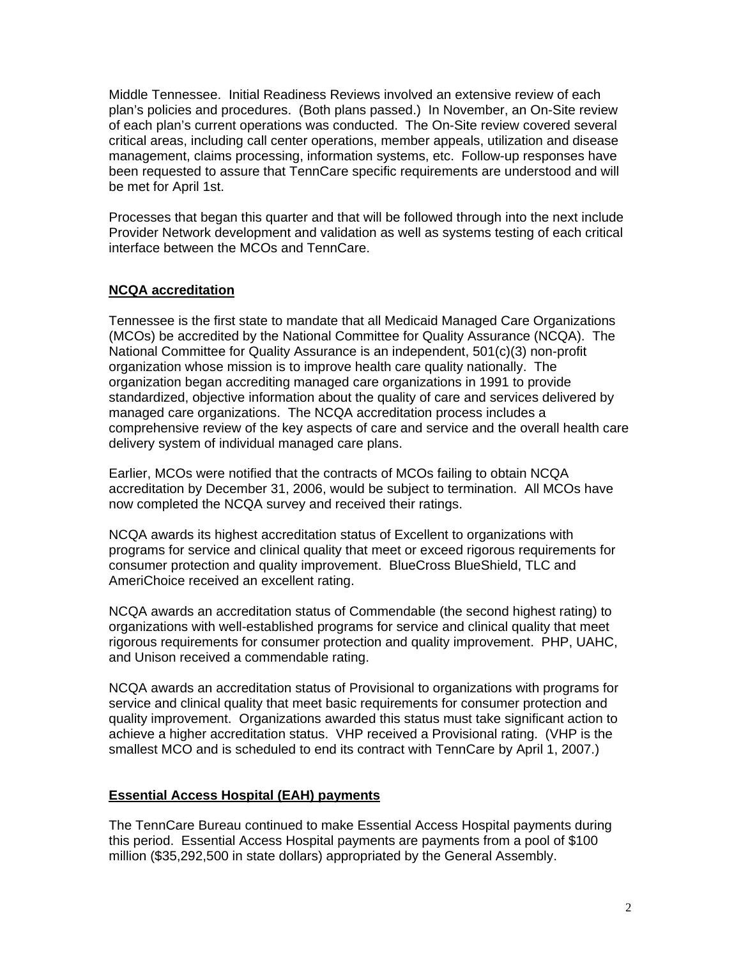Middle Tennessee. Initial Readiness Reviews involved an extensive review of each plan's policies and procedures. (Both plans passed.) In November, an On-Site review of each plan's current operations was conducted. The On-Site review covered several critical areas, including call center operations, member appeals, utilization and disease management, claims processing, information systems, etc. Follow-up responses have been requested to assure that TennCare specific requirements are understood and will be met for April 1st.

Processes that began this quarter and that will be followed through into the next include Provider Network development and validation as well as systems testing of each critical interface between the MCOs and TennCare.

# **NCQA accreditation**

Tennessee is the first state to mandate that all Medicaid Managed Care Organizations (MCOs) be accredited by the National Committee for Quality Assurance (NCQA). The National Committee for Quality Assurance is an independent, 501(c)(3) non-profit organization whose mission is to improve health care quality nationally. The organization began accrediting managed care organizations in 1991 to provide standardized, objective information about the quality of care and services delivered by managed care organizations. The NCQA accreditation process includes a comprehensive review of the key aspects of care and service and the overall health care delivery system of individual managed care plans.

Earlier, MCOs were notified that the contracts of MCOs failing to obtain NCQA accreditation by December 31, 2006, would be subject to termination. All MCOs have now completed the NCQA survey and received their ratings.

NCQA awards its highest accreditation status of Excellent to organizations with programs for service and clinical quality that meet or exceed rigorous requirements for consumer protection and quality improvement. BlueCross BlueShield, TLC and AmeriChoice received an excellent rating.

NCQA awards an accreditation status of Commendable (the second highest rating) to organizations with well-established programs for service and clinical quality that meet rigorous requirements for consumer protection and quality improvement. PHP, UAHC, and Unison received a commendable rating.

NCQA awards an accreditation status of Provisional to organizations with programs for service and clinical quality that meet basic requirements for consumer protection and quality improvement. Organizations awarded this status must take significant action to achieve a higher accreditation status. VHP received a Provisional rating. (VHP is the smallest MCO and is scheduled to end its contract with TennCare by April 1, 2007.)

# **Essential Access Hospital (EAH) payments**

 The TennCare Bureau continued to make Essential Access Hospital payments during this period. Essential Access Hospital payments are payments from a pool of \$100 million (\$35,292,500 in state dollars) appropriated by the General Assembly.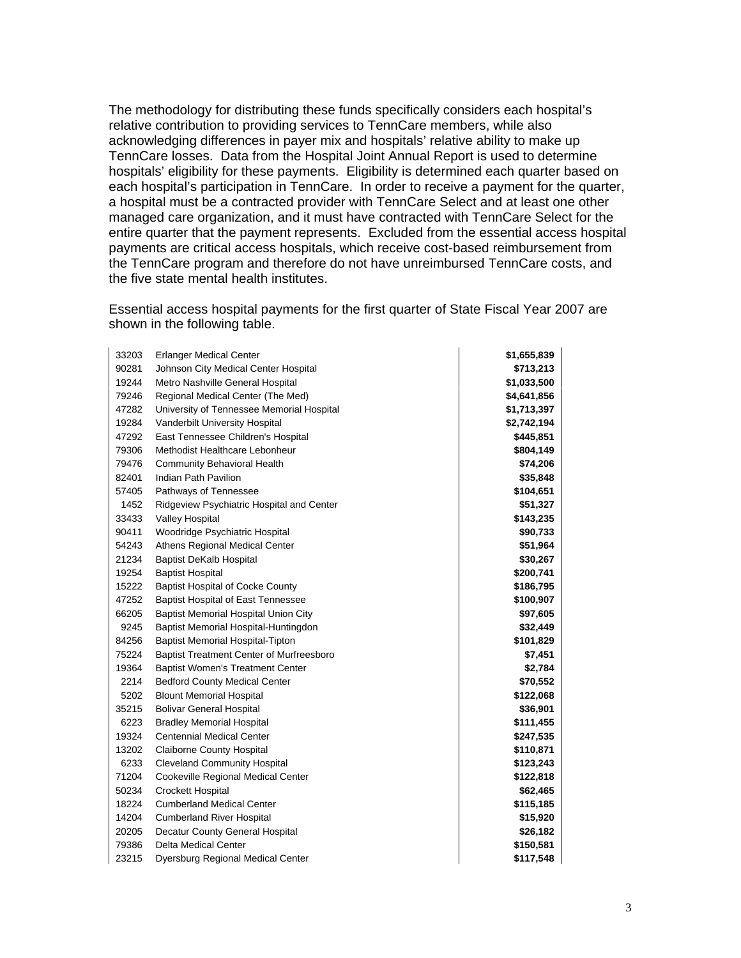The methodology for distributing these funds specifically considers each hospital's relative contribution to providing services to TennCare members, while also acknowledging differences in payer mix and hospitals' relative ability to make up TennCare losses. Data from the Hospital Joint Annual Report is used to determine hospitals' eligibility for these payments. Eligibility is determined each quarter based on each hospital's participation in TennCare. In order to receive a payment for the quarter, a hospital must be a contracted provider with TennCare Select and at least one other managed care organization, and it must have contracted with TennCare Select for the entire quarter that the payment represents. Excluded from the essential access hospital payments are critical access hospitals, which receive cost-based reimbursement from the TennCare program and therefore do not have unreimbursed TennCare costs, and the five state mental health institutes.

Essential access hospital payments for the first quarter of State Fiscal Year 2007 are shown in the following table.

| 33203 | <b>Erlanger Medical Center</b>                  | \$1,655,839 |
|-------|-------------------------------------------------|-------------|
| 90281 | Johnson City Medical Center Hospital            | \$713,213   |
| 19244 | Metro Nashville General Hospital                | \$1,033,500 |
| 79246 | Regional Medical Center (The Med)               | \$4,641,856 |
| 47282 | University of Tennessee Memorial Hospital       | \$1,713,397 |
| 19284 | Vanderbilt University Hospital                  | \$2,742,194 |
| 47292 | East Tennessee Children's Hospital              | \$445,851   |
| 79306 | Methodist Healthcare Lebonheur                  | \$804,149   |
| 79476 | <b>Community Behavioral Health</b>              | \$74,206    |
| 82401 | Indian Path Pavilion                            | \$35,848    |
| 57405 | Pathways of Tennessee                           | \$104,651   |
| 1452  | Ridgeview Psychiatric Hospital and Center       | \$51,327    |
| 33433 | Valley Hospital                                 | \$143,235   |
| 90411 | Woodridge Psychiatric Hospital                  | \$90,733    |
| 54243 | Athens Regional Medical Center                  | \$51,964    |
| 21234 | <b>Baptist DeKalb Hospital</b>                  | \$30,267    |
| 19254 | <b>Baptist Hospital</b>                         | \$200,741   |
| 15222 | <b>Baptist Hospital of Cocke County</b>         | \$186,795   |
| 47252 | <b>Baptist Hospital of East Tennessee</b>       | \$100,907   |
| 66205 | <b>Baptist Memorial Hospital Union City</b>     | \$97,605    |
| 9245  | Baptist Memorial Hospital-Huntingdon            | \$32,449    |
| 84256 | <b>Baptist Memorial Hospital-Tipton</b>         | \$101,829   |
| 75224 | <b>Baptist Treatment Center of Murfreesboro</b> | \$7,451     |
| 19364 | <b>Baptist Women's Treatment Center</b>         | \$2,784     |
| 2214  | <b>Bedford County Medical Center</b>            | \$70,552    |
| 5202  | <b>Blount Memorial Hospital</b>                 | \$122,068   |
| 35215 | <b>Bolivar General Hospital</b>                 | \$36,901    |
| 6223  | <b>Bradley Memorial Hospital</b>                | \$111,455   |
| 19324 | <b>Centennial Medical Center</b>                | \$247,535   |
| 13202 | <b>Claiborne County Hospital</b>                | \$110,871   |
| 6233  | <b>Cleveland Community Hospital</b>             | \$123,243   |
| 71204 | Cookeville Regional Medical Center              | \$122,818   |
| 50234 | <b>Crockett Hospital</b>                        | \$62,465    |
| 18224 | <b>Cumberland Medical Center</b>                | \$115,185   |
| 14204 | <b>Cumberland River Hospital</b>                | \$15,920    |
| 20205 | Decatur County General Hospital                 | \$26,182    |
| 79386 | <b>Delta Medical Center</b>                     | \$150,581   |
| 23215 | Dyersburg Regional Medical Center               | \$117,548   |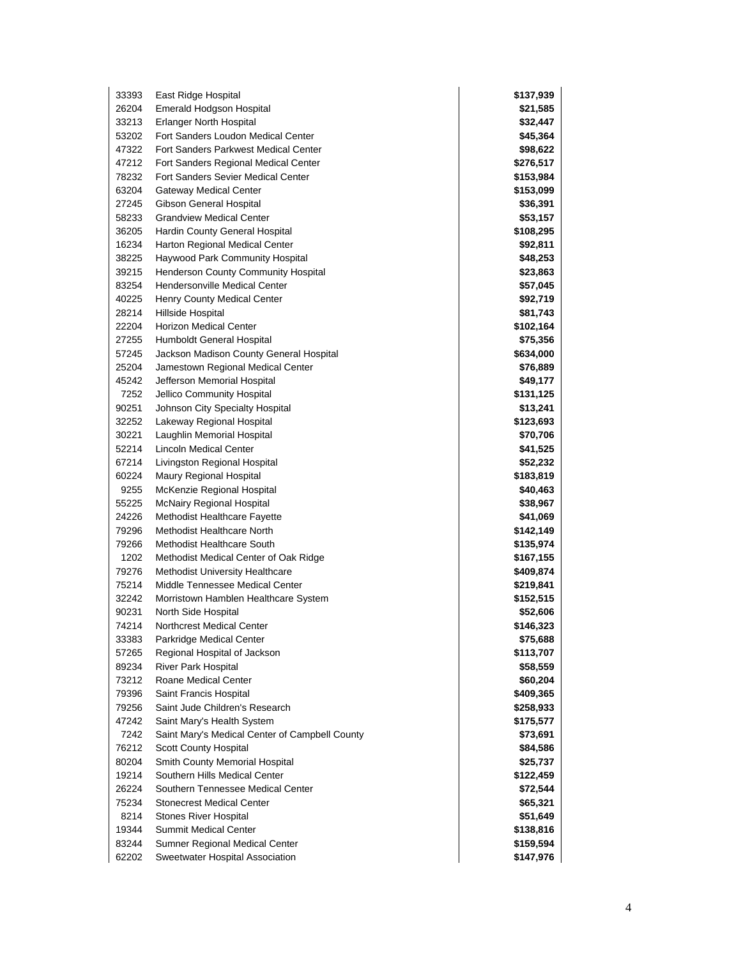| 33393 | East Ridge Hospital                            | \$137,939 |
|-------|------------------------------------------------|-----------|
| 26204 | Emerald Hodgson Hospital                       | \$21,585  |
| 33213 | <b>Erlanger North Hospital</b>                 | \$32,447  |
| 53202 | Fort Sanders Loudon Medical Center             | \$45,364  |
| 47322 | Fort Sanders Parkwest Medical Center           | \$98,622  |
| 47212 | Fort Sanders Regional Medical Center           | \$276,517 |
| 78232 | <b>Fort Sanders Sevier Medical Center</b>      | \$153,984 |
| 63204 | Gateway Medical Center                         | \$153,099 |
| 27245 | Gibson General Hospital                        | \$36,391  |
| 58233 | <b>Grandview Medical Center</b>                | \$53,157  |
| 36205 | Hardin County General Hospital                 | \$108,295 |
| 16234 | Harton Regional Medical Center                 | \$92,811  |
| 38225 | Haywood Park Community Hospital                | \$48,253  |
| 39215 | Henderson County Community Hospital            | \$23,863  |
| 83254 | <b>Hendersonville Medical Center</b>           | \$57,045  |
| 40225 | Henry County Medical Center                    | \$92,719  |
| 28214 | Hillside Hospital                              | \$81,743  |
| 22204 | Horizon Medical Center                         | \$102,164 |
| 27255 | Humboldt General Hospital                      | \$75,356  |
| 57245 | Jackson Madison County General Hospital        | \$634,000 |
| 25204 | Jamestown Regional Medical Center              | \$76,889  |
| 45242 | Jefferson Memorial Hospital                    | \$49,177  |
| 7252  | Jellico Community Hospital                     | \$131,125 |
| 90251 | Johnson City Specialty Hospital                | \$13,241  |
| 32252 | Lakeway Regional Hospital                      | \$123,693 |
| 30221 | Laughlin Memorial Hospital                     | \$70,706  |
| 52214 | <b>Lincoln Medical Center</b>                  | \$41,525  |
| 67214 | Livingston Regional Hospital                   | \$52,232  |
| 60224 | Maury Regional Hospital                        | \$183,819 |
| 9255  | McKenzie Regional Hospital                     | \$40,463  |
| 55225 | <b>McNairy Regional Hospital</b>               | \$38,967  |
| 24226 | Methodist Healthcare Fayette                   | \$41,069  |
| 79296 | Methodist Healthcare North                     | \$142,149 |
| 79266 | Methodist Healthcare South                     | \$135,974 |
| 1202  | Methodist Medical Center of Oak Ridge          | \$167,155 |
| 79276 | <b>Methodist University Healthcare</b>         | \$409,874 |
| 75214 | Middle Tennessee Medical Center                | \$219,841 |
| 32242 | Morristown Hamblen Healthcare System           | \$152,515 |
| 90231 | North Side Hospital                            | \$52,606  |
| 74214 | Northcrest Medical Center                      | \$146,323 |
| 33383 | Parkridge Medical Center                       | \$75,688  |
| 57265 | Regional Hospital of Jackson                   | \$113,707 |
| 89234 | <b>River Park Hospital</b>                     | \$58,559  |
| 73212 | Roane Medical Center                           | \$60,204  |
| 79396 | Saint Francis Hospital                         | \$409,365 |
| 79256 | Saint Jude Children's Research                 | \$258,933 |
| 47242 | Saint Mary's Health System                     | \$175,577 |
| 7242  | Saint Mary's Medical Center of Campbell County | \$73,691  |
| 76212 | Scott County Hospital                          | \$84,586  |
| 80204 | Smith County Memorial Hospital                 | \$25,737  |
| 19214 | Southern Hills Medical Center                  | \$122,459 |
| 26224 | Southern Tennessee Medical Center              | \$72,544  |
| 75234 | <b>Stonecrest Medical Center</b>               | \$65,321  |
| 8214  | Stones River Hospital                          | \$51,649  |
| 19344 | <b>Summit Medical Center</b>                   | \$138,816 |
| 83244 | Sumner Regional Medical Center                 | \$159,594 |
| 62202 | Sweetwater Hospital Association                | \$147,976 |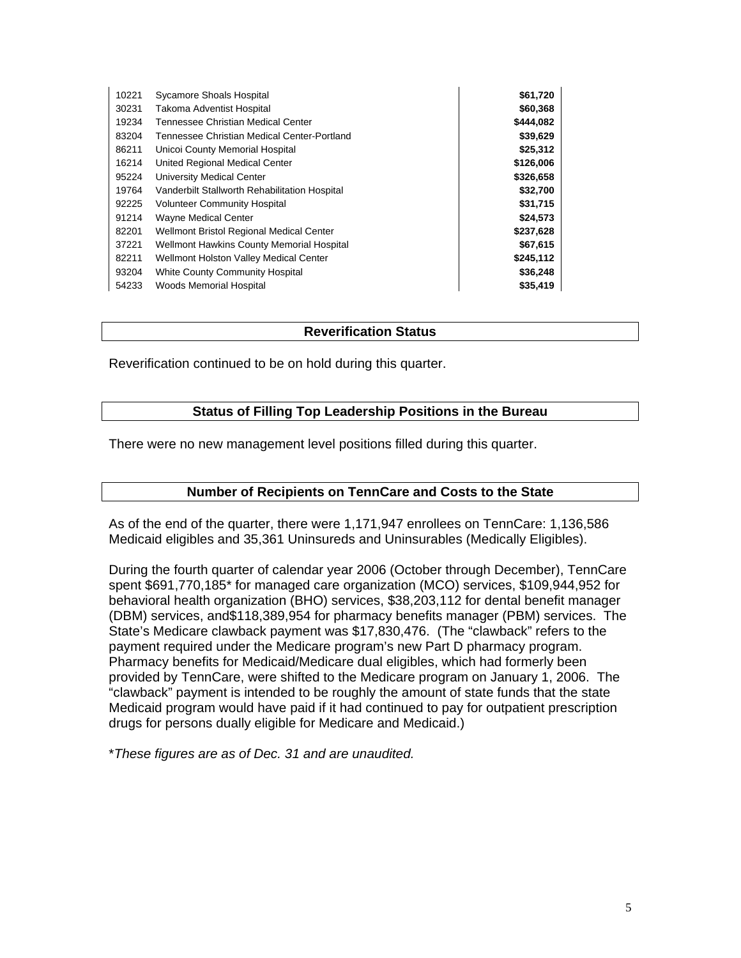| 10221 | Sycamore Shoals Hospital                         | \$61,720  |
|-------|--------------------------------------------------|-----------|
| 30231 | <b>Takoma Adventist Hospital</b>                 | \$60,368  |
| 19234 | Tennessee Christian Medical Center               | \$444,082 |
| 83204 | Tennessee Christian Medical Center-Portland      | \$39,629  |
| 86211 | Unicoi County Memorial Hospital                  | \$25,312  |
| 16214 | United Regional Medical Center                   | \$126,006 |
| 95224 | University Medical Center                        | \$326,658 |
| 19764 | Vanderbilt Stallworth Rehabilitation Hospital    | \$32,700  |
| 92225 | <b>Volunteer Community Hospital</b>              | \$31,715  |
| 91214 | <b>Wayne Medical Center</b>                      | \$24,573  |
| 82201 | Wellmont Bristol Regional Medical Center         | \$237,628 |
| 37221 | <b>Wellmont Hawkins County Memorial Hospital</b> | \$67,615  |
| 82211 | Wellmont Holston Valley Medical Center           | \$245,112 |
| 93204 | <b>White County Community Hospital</b>           | \$36,248  |
| 54233 | <b>Woods Memorial Hospital</b>                   | \$35,419  |

#### **Reverification Status**

Reverification continued to be on hold during this quarter.

#### **Status of Filling Top Leadership Positions in the Bureau**

There were no new management level positions filled during this quarter.

#### **Number of Recipients on TennCare and Costs to the State**

As of the end of the quarter, there were 1,171,947 enrollees on TennCare: 1,136,586 Medicaid eligibles and 35,361 Uninsureds and Uninsurables (Medically Eligibles).

During the fourth quarter of calendar year 2006 (October through December), TennCare spent \$691,770,185\* for managed care organization (MCO) services, \$109,944,952 for behavioral health organization (BHO) services, \$38,203,112 for dental benefit manager (DBM) services, and\$118,389,954 for pharmacy benefits manager (PBM) services. The State's Medicare clawback payment was \$17,830,476. (The "clawback" refers to the payment required under the Medicare program's new Part D pharmacy program. Pharmacy benefits for Medicaid/Medicare dual eligibles, which had formerly been provided by TennCare, were shifted to the Medicare program on January 1, 2006. The "clawback" payment is intended to be roughly the amount of state funds that the state Medicaid program would have paid if it had continued to pay for outpatient prescription drugs for persons dually eligible for Medicare and Medicaid.)

\**These figures are as of Dec. 31 and are unaudited.*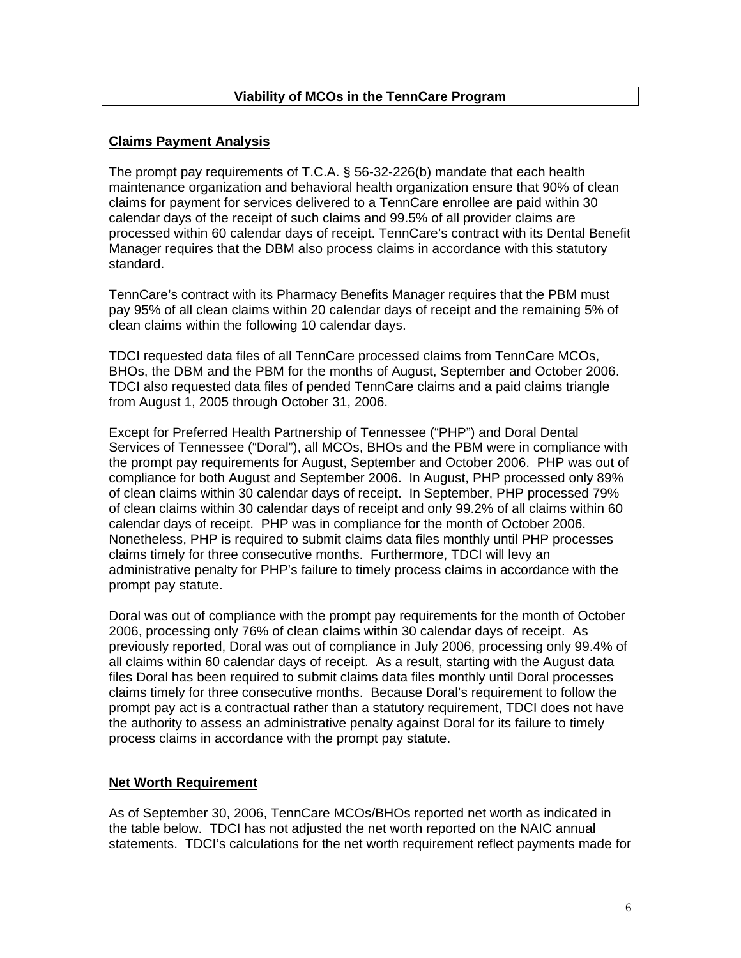# **Viability of MCOs in the TennCare Program**

#### **Claims Payment Analysis**

The prompt pay requirements of T.C.A. § 56-32-226(b) mandate that each health maintenance organization and behavioral health organization ensure that 90% of clean claims for payment for services delivered to a TennCare enrollee are paid within 30 calendar days of the receipt of such claims and 99.5% of all provider claims are processed within 60 calendar days of receipt. TennCare's contract with its Dental Benefit Manager requires that the DBM also process claims in accordance with this statutory standard.

TennCare's contract with its Pharmacy Benefits Manager requires that the PBM must pay 95% of all clean claims within 20 calendar days of receipt and the remaining 5% of clean claims within the following 10 calendar days.

TDCI requested data files of all TennCare processed claims from TennCare MCOs, BHOs, the DBM and the PBM for the months of August, September and October 2006. TDCI also requested data files of pended TennCare claims and a paid claims triangle from August 1, 2005 through October 31, 2006.

Except for Preferred Health Partnership of Tennessee ("PHP") and Doral Dental Services of Tennessee ("Doral"), all MCOs, BHOs and the PBM were in compliance with the prompt pay requirements for August, September and October 2006. PHP was out of compliance for both August and September 2006. In August, PHP processed only 89% of clean claims within 30 calendar days of receipt. In September, PHP processed 79% of clean claims within 30 calendar days of receipt and only 99.2% of all claims within 60 calendar days of receipt. PHP was in compliance for the month of October 2006. Nonetheless, PHP is required to submit claims data files monthly until PHP processes claims timely for three consecutive months. Furthermore, TDCI will levy an administrative penalty for PHP's failure to timely process claims in accordance with the prompt pay statute.

Doral was out of compliance with the prompt pay requirements for the month of October 2006, processing only 76% of clean claims within 30 calendar days of receipt. As previously reported, Doral was out of compliance in July 2006, processing only 99.4% of all claims within 60 calendar days of receipt. As a result, starting with the August data files Doral has been required to submit claims data files monthly until Doral processes claims timely for three consecutive months. Because Doral's requirement to follow the prompt pay act is a contractual rather than a statutory requirement, TDCI does not have the authority to assess an administrative penalty against Doral for its failure to timely process claims in accordance with the prompt pay statute.

#### **Net Worth Requirement**

As of September 30, 2006, TennCare MCOs/BHOs reported net worth as indicated in the table below. TDCI has not adjusted the net worth reported on the NAIC annual statements. TDCI's calculations for the net worth requirement reflect payments made for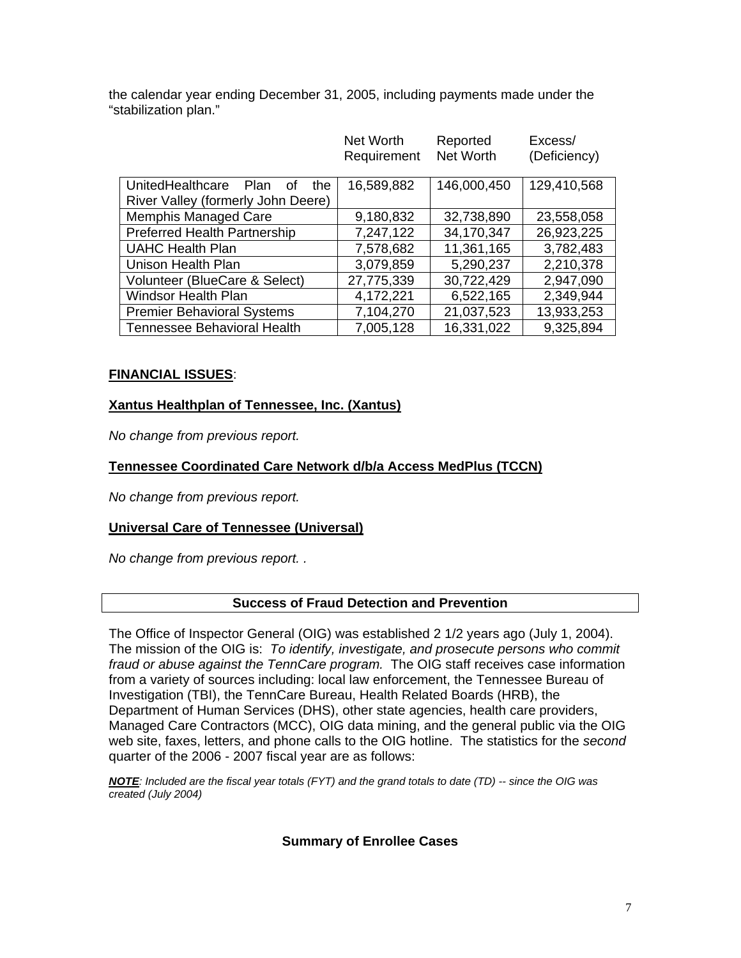the calendar year ending December 31, 2005, including payments made under the "stabilization plan."

|                                       | Net Worth<br>Requirement | Reported<br>Net Worth | Excess/<br>(Deficiency) |
|---------------------------------------|--------------------------|-----------------------|-------------------------|
|                                       |                          |                       |                         |
| UnitedHealthcare<br>Plan<br>the<br>Ωt | 16,589,882               | 146,000,450           | 129,410,568             |
| River Valley (formerly John Deere)    |                          |                       |                         |
| <b>Memphis Managed Care</b>           | 9,180,832                | 32,738,890            | 23,558,058              |
| <b>Preferred Health Partnership</b>   | 7,247,122                | 34,170,347            | 26,923,225              |
| <b>UAHC Health Plan</b>               | 7,578,682                | 11,361,165            | 3,782,483               |
| Unison Health Plan                    | 3,079,859                | 5,290,237             | 2,210,378               |
| Volunteer (BlueCare & Select)         | 27,775,339               | 30,722,429            | 2,947,090               |
| <b>Windsor Health Plan</b>            | 4,172,221                | 6,522,165             | 2,349,944               |
| <b>Premier Behavioral Systems</b>     | 7,104,270                | 21,037,523            | 13,933,253              |
| <b>Tennessee Behavioral Health</b>    | 7,005,128                | 16,331,022            | 9,325,894               |

#### **FINANCIAL ISSUES**:

#### **Xantus Healthplan of Tennessee, Inc. (Xantus)**

*No change from previous report.* 

#### **Tennessee Coordinated Care Network d/b/a Access MedPlus (TCCN)**

*No change from previous report.* 

# **Universal Care of Tennessee (Universal)**

*No change from previous report. .* 

#### **Success of Fraud Detection and Prevention**

The Office of Inspector General (OIG) was established 2 1/2 years ago (July 1, 2004). The mission of the OIG is: *To identify, investigate, and prosecute persons who commit fraud or abuse against the TennCare program.* The OIG staff receives case information from a variety of sources including: local law enforcement, the Tennessee Bureau of Investigation (TBI), the TennCare Bureau, Health Related Boards (HRB), the Department of Human Services (DHS), other state agencies, health care providers, Managed Care Contractors (MCC), OIG data mining, and the general public via the OIG web site, faxes, letters, and phone calls to the OIG hotline. The statistics for the *second* quarter of the 2006 - 2007 fiscal year are as follows:

*NOTE: Included are the fiscal year totals (FYT) and the grand totals to date (TD) -- since the OIG was created (July 2004)* 

# **Summary of Enrollee Cases**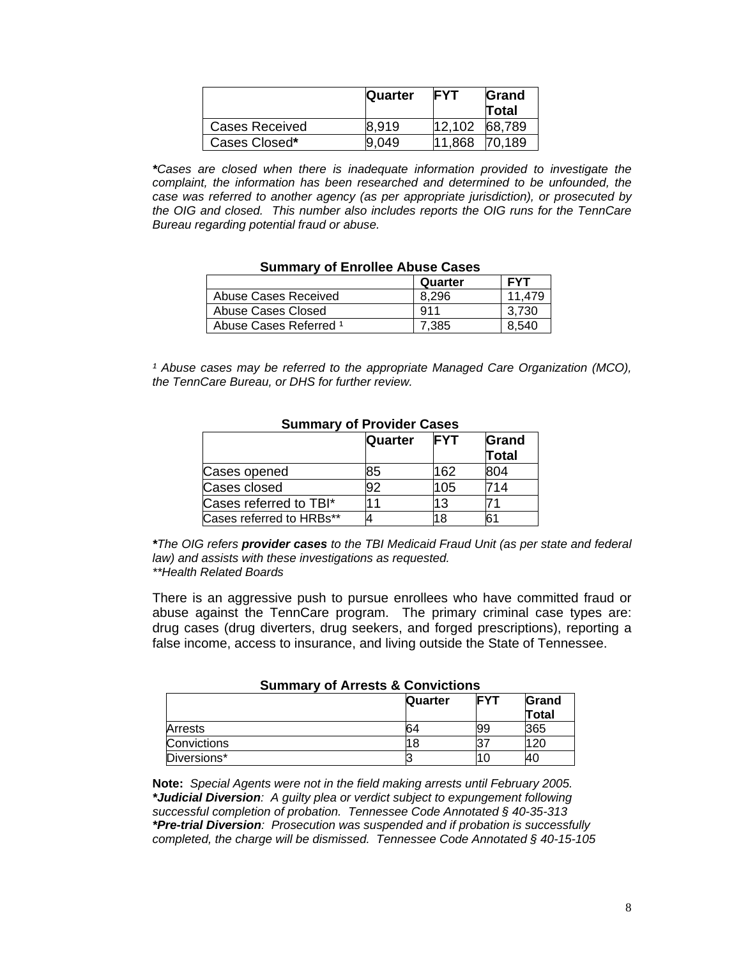|                | <b>Quarter</b> | <b>FYT</b> | Grand<br>Total |
|----------------|----------------|------------|----------------|
| Cases Received | 8.919          | 12,102     | 68,789         |
| Cases Closed*  | 9.049          | 11,868     | 70.189         |

*\*Cases are closed when there is inadequate information provided to investigate the complaint, the information has been researched and determined to be unfounded, the case was referred to another agency (as per appropriate jurisdiction), or prosecuted by the OIG and closed. This number also includes reports the OIG runs for the TennCare Bureau regarding potential fraud or abuse.* 

#### **Summary of Enrollee Abuse Cases**

|                                   | Quarter | <b>FYT</b> |
|-----------------------------------|---------|------------|
| Abuse Cases Received              | 8.296   | 11.479     |
| Abuse Cases Closed                | 911     | 3.730      |
| Abuse Cases Referred <sup>1</sup> | 7.385   | 8.540      |

<sup>1</sup> Abuse cases may be referred to the appropriate Managed Care Organization (MCO), *the TennCare Bureau, or DHS for further review.* 

| ---------                |         |            |                       |
|--------------------------|---------|------------|-----------------------|
|                          | Quarter | <b>FYT</b> | Grand<br><b>Total</b> |
| Cases opened             | 85      | 162        | 804                   |
| Cases closed             | 92      | 105        | '14                   |
| Cases referred to TBI*   |         | 13         |                       |
| Cases referred to HRBs** |         | 18         | 61                    |

# **Summary of Provider Cases**

*\*The OIG refers provider cases to the TBI Medicaid Fraud Unit (as per state and federal law) and assists with these investigations as requested. \*\*Health Related Boards* 

 There is an aggressive push to pursue enrollees who have committed fraud or abuse against the TennCare program. The primary criminal case types are: drug cases (drug diverters, drug seekers, and forged prescriptions), reporting a false income, access to insurance, and living outside the State of Tennessee.

| <b>UUIIIIIIIIIIIII</b> UI AITUSTS & UUIIVIUTUS |                                       |    |       |
|------------------------------------------------|---------------------------------------|----|-------|
|                                                | <b>FYT</b><br>Grand<br><b>Quarter</b> |    |       |
|                                                |                                       |    | Total |
| Arrests                                        | 64                                    | 99 | 365   |
| Convictions                                    |                                       |    | 20    |
| Diversions*                                    |                                       |    |       |

#### **Summary of Arrests & Convictions**

**Note:** *Special Agents were not in the field making arrests until February 2005. \*Judicial Diversion: A guilty plea or verdict subject to expungement following successful completion of probation. Tennessee Code Annotated § 40-35-313 \*Pre-trial Diversion: Prosecution was suspended and if probation is successfully completed, the charge will be dismissed. Tennessee Code Annotated § 40-15-105*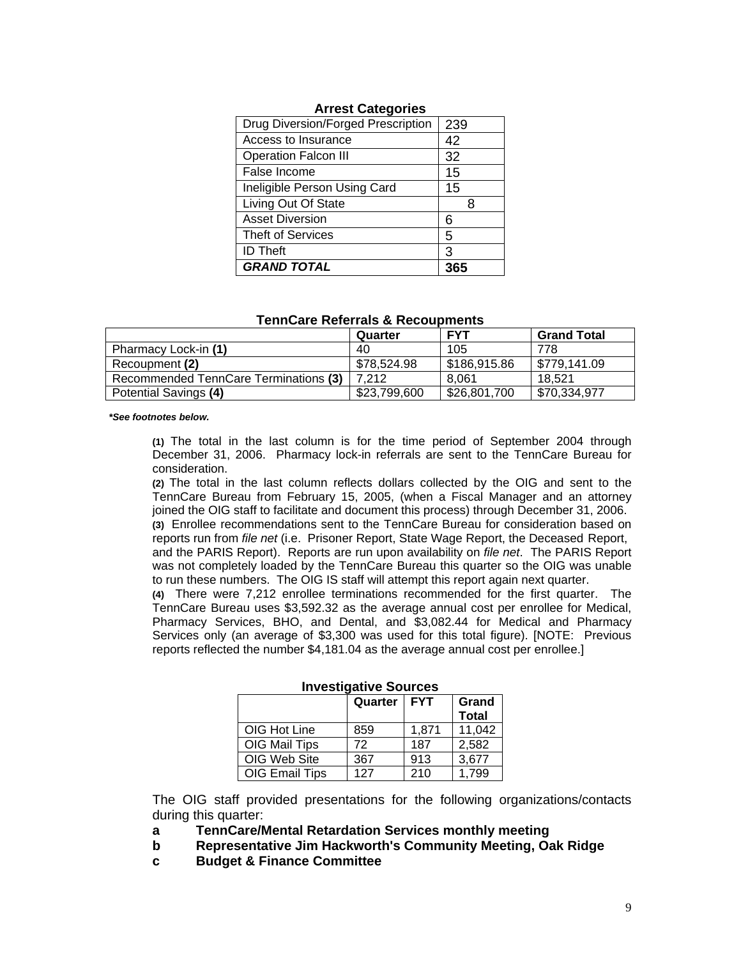| Drug Diversion/Forged Prescription | 239 |
|------------------------------------|-----|
| Access to Insurance                | 42  |
| <b>Operation Falcon III</b>        | 32  |
| False Income                       | 15  |
| Ineligible Person Using Card       | 15  |
| Living Out Of State                |     |
| <b>Asset Diversion</b>             | 6   |
| <b>Theft of Services</b>           | 5   |
| <b>ID Theft</b>                    | З   |
| <b>GRAND TOTAL</b>                 |     |

#### **Arrest Categories**

|                                       | Quarter      | <b>FYT</b>   | <b>Grand Total</b> |
|---------------------------------------|--------------|--------------|--------------------|
| Pharmacy Lock-in (1)                  | 40           | 105          | 778                |
| Recoupment (2)                        | \$78.524.98  | \$186,915.86 | \$779.141.09       |
| Recommended TennCare Terminations (3) | 7.212        | 8.061        | 18.521             |
| Potential Savings (4)                 | \$23,799,600 | \$26,801,700 | \$70,334,977       |

*\*See footnotes below.* 

 **(1)** The total in the last column is for the time period of September 2004 through December 31, 2006. Pharmacy lock-in referrals are sent to the TennCare Bureau for consideration.

**(2)** The total in the last column reflects dollars collected by the OIG and sent to the TennCare Bureau from February 15, 2005, (when a Fiscal Manager and an attorney joined the OIG staff to facilitate and document this process) through December 31, 2006. **(3)** Enrollee recommendations sent to the TennCare Bureau for consideration based on

reports run from *file net* (i.e. Prisoner Report, State Wage Report, the Deceased Report, and the PARIS Report). Reports are run upon availability on *file net*. The PARIS Report was not completely loaded by the TennCare Bureau this quarter so the OIG was unable to run these numbers. The OIG IS staff will attempt this report again next quarter.

**(4)** There were 7,212 enrollee terminations recommended for the first quarter. The TennCare Bureau uses \$3,592.32 as the average annual cost per enrollee for Medical, Pharmacy Services, BHO, and Dental, and \$3,082.44 for Medical and Pharmacy Services only (an average of \$3,300 was used for this total figure). [NOTE: Previous reports reflected the number \$4,181.04 as the average annual cost per enrollee.]

| IIIV COLIMALIV C OOUI OCO |               |       |                       |
|---------------------------|---------------|-------|-----------------------|
|                           | Quarter   FYT |       | Grand<br><b>Total</b> |
| OIG Hot Line              | 859           | 1,871 | 11,042                |
| OIG Mail Tips             | 72            | 187   | 2,582                 |
| OIG Web Site              | 367           | 913   | 3,677                 |
| OIG Email Tips            | 127           | 210   | 1.799                 |

**Investigative Sources** 

 The OIG staff provided presentations for the following organizations/contacts during this quarter:

- **a TennCare/Mental Retardation Services monthly meeting**
- **b Representative Jim Hackworth's Community Meeting, Oak Ridge**
- **c Budget & Finance Committee**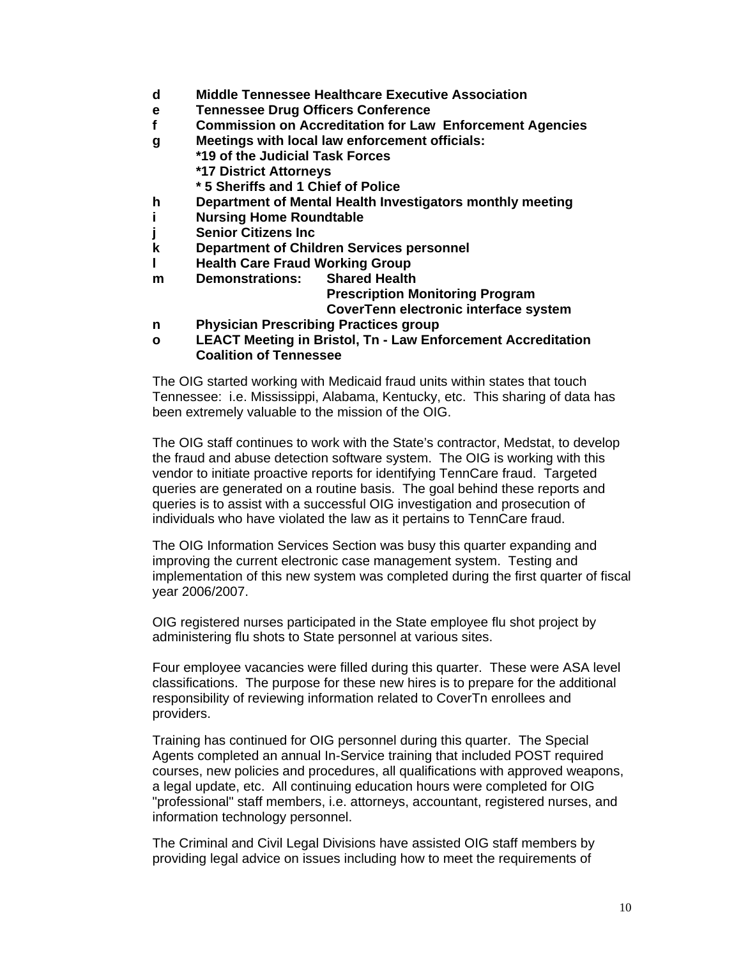- **d Middle Tennessee Healthcare Executive Association**
- **e Tennessee Drug Officers Conference**
- **f Commission on Accreditation for Law Enforcement Agencies**
- **g Meetings with local law enforcement officials:** 
	- **\*19 of the Judicial Task Forces**
	- **\*17 District Attorneys**
	- **\* 5 Sheriffs and 1 Chief of Police**
- **h Department of Mental Health Investigators monthly meeting**
- **i Nursing Home Roundtable**
- **Senior Citizens Inc.**
- **k Department of Children Services personnel**
- **I** Health Care Fraud Working Group
- **m Demonstrations: Shared Health Prescription Monitoring Program CoverTenn electronic interface system**
- **n Physician Prescribing Practices group**
- **o LEACT Meeting in Bristol, Tn Law Enforcement Accreditation Coalition of Tennessee**

 The OIG started working with Medicaid fraud units within states that touch Tennessee: i.e. Mississippi, Alabama, Kentucky, etc. This sharing of data has been extremely valuable to the mission of the OIG.

 The OIG staff continues to work with the State's contractor, Medstat, to develop the fraud and abuse detection software system. The OIG is working with this vendor to initiate proactive reports for identifying TennCare fraud. Targeted queries are generated on a routine basis. The goal behind these reports and queries is to assist with a successful OIG investigation and prosecution of individuals who have violated the law as it pertains to TennCare fraud.

 The OIG Information Services Section was busy this quarter expanding and improving the current electronic case management system. Testing and implementation of this new system was completed during the first quarter of fiscal year 2006/2007.

 OIG registered nurses participated in the State employee flu shot project by administering flu shots to State personnel at various sites.

 Four employee vacancies were filled during this quarter. These were ASA level classifications. The purpose for these new hires is to prepare for the additional responsibility of reviewing information related to CoverTn enrollees and providers.

 Training has continued for OIG personnel during this quarter. The Special Agents completed an annual In-Service training that included POST required courses, new policies and procedures, all qualifications with approved weapons, a legal update, etc. All continuing education hours were completed for OIG "professional" staff members, i.e. attorneys, accountant, registered nurses, and information technology personnel.

 The Criminal and Civil Legal Divisions have assisted OIG staff members by providing legal advice on issues including how to meet the requirements of